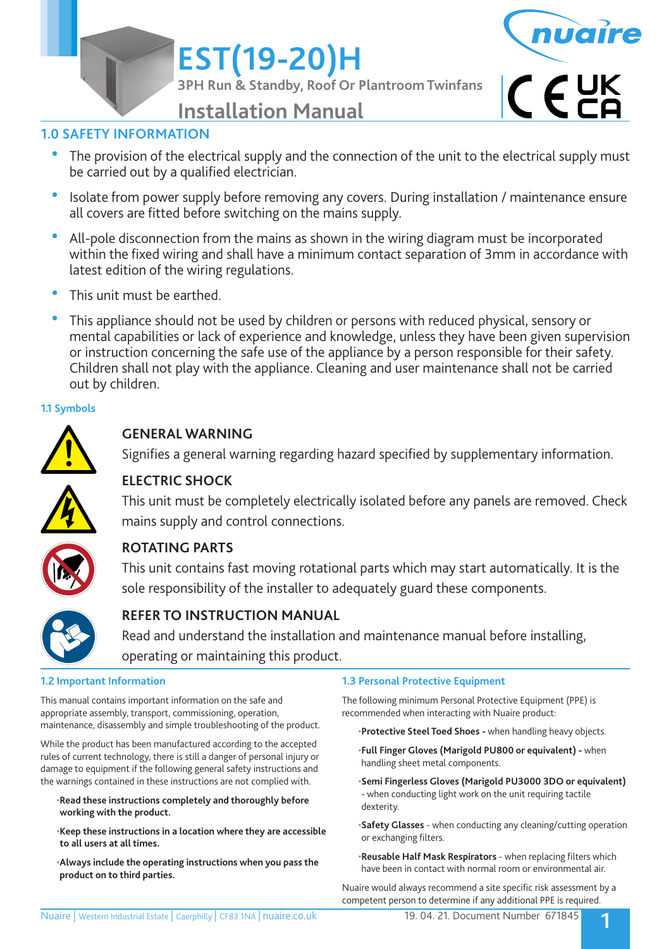**EST(19-20)H**

**3PH Run & Standby, Roof Or Plantroom Twinfans**



 $C$   $C$   $C$ 

**Installation Manual**

## **1.0 SAFETY INFORMATION**

- The provision of the electrical supply and the connection of the unit to the electrical supply must be carried out by a qualified electrician.
- Isolate from power supply before removing any covers. During installation / maintenance ensure all covers are fitted before switching on the mains supply.
- All-pole disconnection from the mains as shown in the wiring diagram must be incorporated within the fixed wiring and shall have a minimum contact separation of 3mm in accordance with latest edition of the wiring regulations.
- This unit must be earthed.
- This appliance should not be used by children or persons with reduced physical, sensory or mental capabilities or lack of experience and knowledge, unless they have been given supervision or instruction concerning the safe use of the appliance by a person responsible for their safety. Children shall not play with the appliance. Cleaning and user maintenance shall not be carried out by children.

## **1.1 Symbols**



## **GENERAL WARNING**

Signifies a general warning regarding hazard specified by supplementary information.



## **ELECTRIC SHOCK**

 This unit must be completely electrically isolated before any panels are removed. Check mains supply and control connections.



## **ROTATING PARTS**

 This unit contains fast moving rotational parts which may start automatically. It is the sole responsibility of the installer to adequately guard these components.



## **REFER TO INSTRUCTION MANUAL**

 Read and understand the installation and maintenance manual before installing, operating or maintaining this product.

### **1.2 Important Information**

This manual contains important information on the safe and appropriate assembly, transport, commissioning, operation, maintenance, disassembly and simple troubleshooting of the product.

While the product has been manufactured according to the accepted rules of current technology, there is still a danger of personal injury or damage to equipment if the following general safety instructions and the warnings contained in these instructions are not complied with.

- •**Read these instructions completely and thoroughly before working with the product.**
- •**Keep these instructions in a location where they are accessible to all users at all times.**
- •**Always include the operating instructions when you pass the product on to third parties.**

### **1.3 Personal Protective Equipment**

The following minimum Personal Protective Equipment (PPE) is recommended when interacting with Nuaire product:

- •**Protective Steel Toed Shoes** when handling heavy objects.
- •**Full Finger Gloves (Marigold PU800 or equivalent)** when handling sheet metal components.
- •**Semi Fingerless Gloves (Marigold PU3000 3DO or equivalent)**  - when conducting light work on the unit requiring tactile dexterity.
- •**Safety Glasses** when conducting any cleaning/cutting operation or exchanging filters.
- •**Reusable Half Mask Respirators**  when replacing filters which have been in contact with normal room or environmental air.

Nuaire would always recommend a site specific risk assessment by a competent person to determine if any additional PPE is required.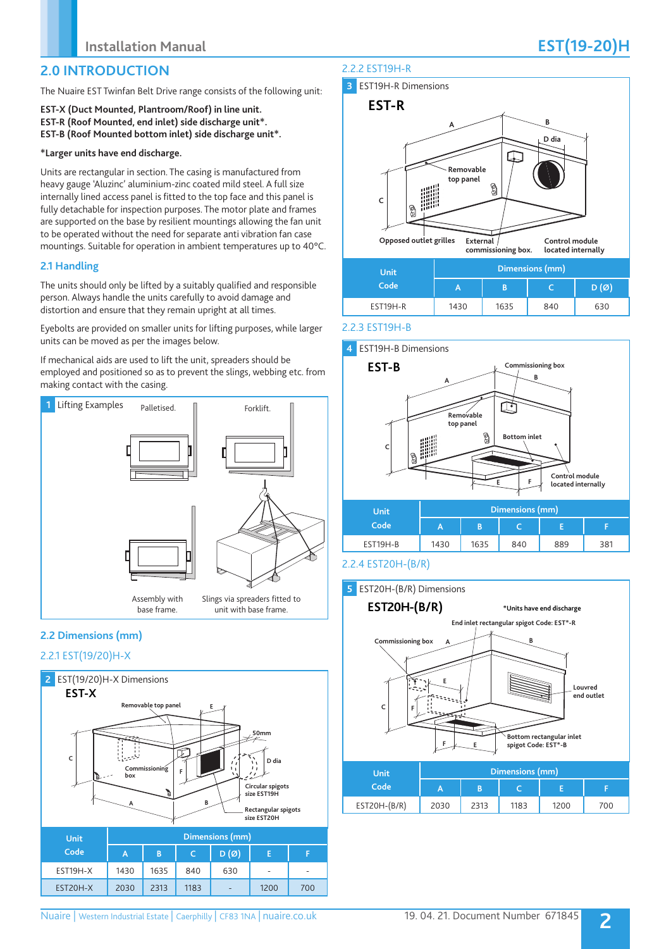## **2.0 INTRODUCTION**

The Nuaire EST Twinfan Belt Drive range consists of the following unit:

**EST-X (Duct Mounted, Plantroom/Roof) in line unit. EST-R (Roof Mounted, end inlet) side discharge unit\*. EST-B (Roof Mounted bottom inlet) side discharge unit\*.**

#### **\*Larger units have end discharge.**

Units are rectangular in section. The casing is manufactured from heavy gauge 'Aluzinc' aluminium-zinc coated mild steel. A full size internally lined access panel is fitted to the top face and this panel is fully detachable for inspection purposes. The motor plate and frames are supported on the base by resilient mountings allowing the fan unit to be operated without the need for separate anti vibration fan case mountings. Suitable for operation in ambient temperatures up to 40°C.

#### **2.1 Handling**

The units should only be lifted by a suitably qualified and responsible person. Always handle the units carefully to avoid damage and distortion and ensure that they remain upright at all times.

Eyebolts are provided on smaller units for lifting purposes, while larger units can be moved as per the images below.

If mechanical aids are used to lift the unit, spreaders should be employed and positioned so as to prevent the slings, webbing etc. from making contact with the casing.



## **2.2 Dimensions (mm)**

## 2.2.1 EST(19/20)H-X



## 2.2.2 EST19H-R



2.2.3 EST19H-B



### 2.2.4 EST20H-(B/R)

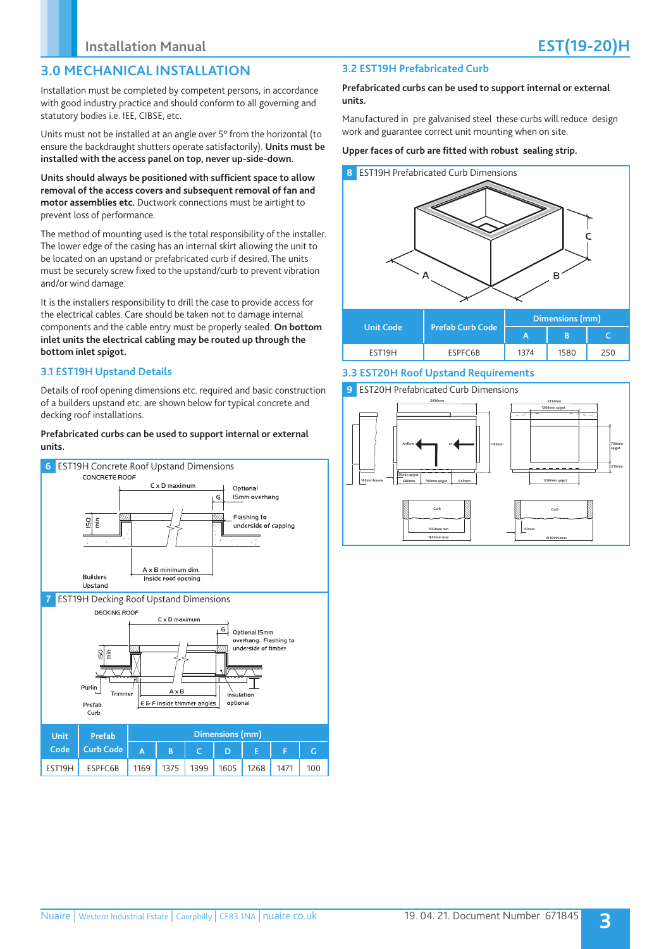## **3.0 MECHANICAL INSTALLATION**

Installation must be completed by competent persons, in accordance with good industry practice and should conform to all governing and statutory bodies i.e. IEE, CIBSE, etc.

Units must not be installed at an angle over 5° from the horizontal (to ensure the backdraught shutters operate satisfactorily). **Units must be installed with the access panel on top, never up-side-down.**

**Units should always be positioned with sufficient space to allow removal of the access covers and subsequent removal of fan and motor assemblies etc.** Ductwork connections must be airtight to prevent loss of performance.

The method of mounting used is the total responsibility of the installer. The lower edge of the casing has an internal skirt allowing the unit to be located on an upstand or prefabricated curb if desired. The units must be securely screw fixed to the upstand/curb to prevent vibration and/or wind damage.

It is the installers responsibility to drill the case to provide access for the electrical cables. Care should be taken not to damage internal components and the cable entry must be properly sealed. **On bottom inlet units the electrical cabling may be routed up through the bottom inlet spigot.**

#### **3.1 EST19H Upstand Details**

Details of roof opening dimensions etc. required and basic construction of a builders upstand etc. are shown below for typical concrete and decking roof installations.

#### **Prefabricated curbs can be used to support internal or external units.**



## **3.2 EST19H Prefabricated Curb**

#### **Prefabricated curbs can be used to support internal or external units.**

Manufactured in pre galvanised steel these curbs will reduce design work and guarantee correct unit mounting when on site.

#### **Upper faces of curb are fitted with robust sealing strip.**



### **3.3 EST20H Roof Upstand Requirements**

#### **9** EST20H Prefabricated Curb Dimensions

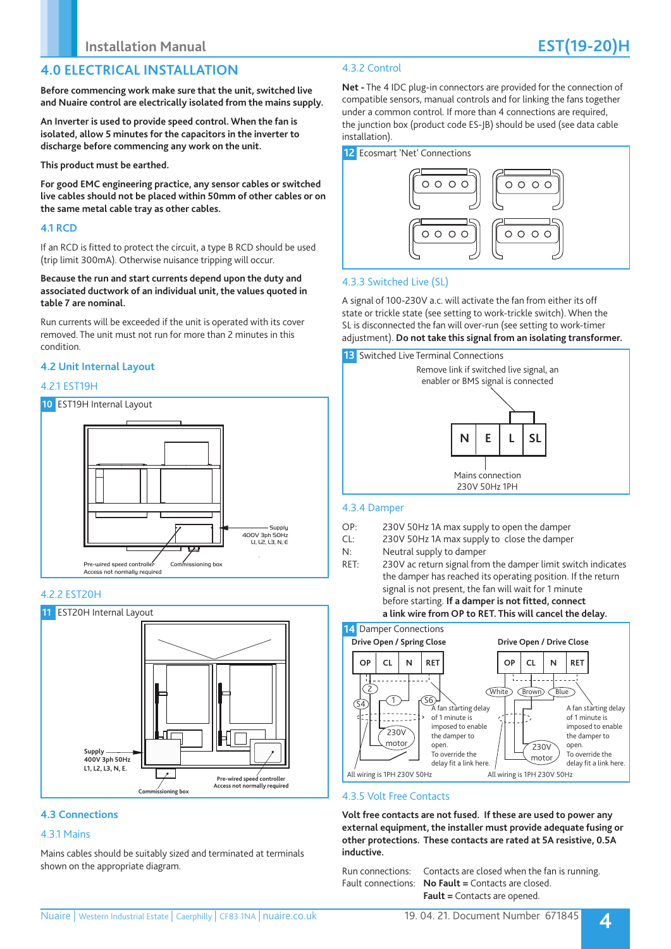## **4.0 ELECTRICAL INSTALLATION**

**Before commencing work make sure that the unit, switched live and Nuaire control are electrically isolated from the mains supply.** 

**An Inverter is used to provide speed control. When the fan is isolated, allow 5 minutes for the capacitors in the inverter to discharge before commencing any work on the unit.**

**This product must be earthed.** 

**For good EMC engineering practice, any sensor cables or switched live cables should not be placed within 50mm of other cables or on the same metal cable tray as other cables.**

### **4.1 RCD**

If an RCD is fitted to protect the circuit, a type B RCD should be used (trip limit 300mA). Otherwise nuisance tripping will occur.

**Because the run and start currents depend upon the duty and associated ductwork of an individual unit, the values quoted in table 7 are nominal.**

Run currents will be exceeded if the unit is operated with its cover removed. The unit must not run for more than 2 minutes in this condition.

### **4.2 Unit Internal Layout**

#### 4.2.1 EST19H



#### 4.2.2 EST20H



#### **4.3 Connections**

#### 4.3.1 Mains

Mains cables should be suitably sized and terminated at terminals shown on the appropriate diagram.

## 4.3.2 Control

**Net -** The 4 IDC plug-in connectors are provided for the connection of compatible sensors, manual controls and for linking the fans together under a common control. If more than 4 connections are required, the junction box (product code ES-JB) should be used (see data cable installation).



## 4.3.3 Switched Live (SL)

A signal of 100-230V a.c. will activate the fan from either its off state or trickle state (see setting to work-trickle switch). When the SL is disconnected the fan will over-run (see setting to work-timer adjustment). **Do not take this signal from an isolating transformer.**



### 4.3.4 Damper

- OP: 230V 50Hz 1A max supply to open the damper
- CL: 230V 50Hz 1A max supply to close the damper
- N: Neutral supply to damper
- RET: 230V ac return signal from the damper limit switch indicates the damper has reached its operating position. If the return signal is not present, the fan will wait for 1 minute before starting. **If a damper is not fitted, connect a link wire from OP to RET. This will cancel the delay.**



### 4.3.5 Volt Free Contacts

**Volt free contacts are not fused. If these are used to power any external equipment, the installer must provide adequate fusing or other protections. These contacts are rated at 5A resistive, 0.5A inductive.**

Run connections: Contacts are closed when the fan is running. Fault connections: **No Fault =** Contacts are closed. **Fault =** Contacts are opened.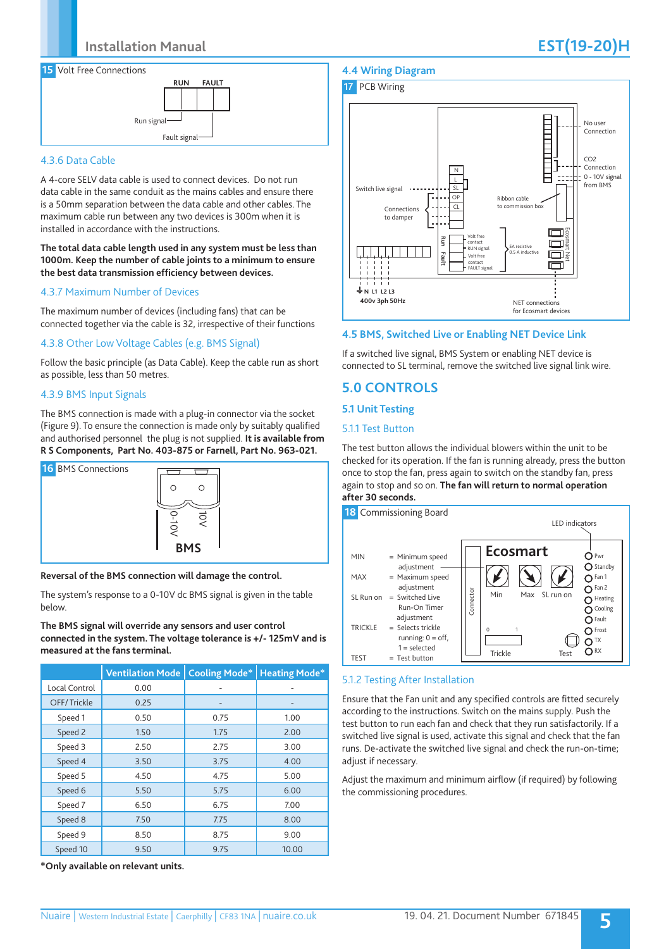

### 4.3.6 Data Cable

A 4-core SELV data cable is used to connect devices. Do not run data cable in the same conduit as the mains cables and ensure there is a 50mm separation between the data cable and other cables. The maximum cable run between any two devices is 300m when it is installed in accordance with the instructions.

#### **The total data cable length used in any system must be less than 1000m. Keep the number of cable joints to a minimum to ensure the best data transmission efficiency between devices.**

#### 4.3.7 Maximum Number of Devices

The maximum number of devices (including fans) that can be connected together via the cable is 32, irrespective of their functions

#### 4.3.8 Other Low Voltage Cables (e.g. BMS Signal)

Follow the basic principle (as Data Cable). Keep the cable run as short as possible, less than 50 metres.

#### 4.3.9 BMS Input Signals

The BMS connection is made with a plug-in connector via the socket (Figure 9). To ensure the connection is made only by suitably qualified and authorised personnel the plug is not supplied. **It is available from R S Components, Part No. 403-875 or Farnell, Part No. 963-021.**



#### **Reversal of the BMS connection will damage the control.**

The system's response to a 0-10V dc BMS signal is given in the table below.

#### **The BMS signal will override any sensors and user control connected in the system. The voltage tolerance is +/- 125mV and is measured at the fans terminal.**

|               | <b>Ventilation Mode</b> | <b>Cooling Mode*</b> | <b>Heating Mode*</b> |
|---------------|-------------------------|----------------------|----------------------|
| Local Control | 0.00                    | ٠                    |                      |
| OFF/Trickle   | 0.25                    | -                    | -                    |
| Speed 1       | 0.50                    | 0.75                 | 1.00                 |
| Speed 2       | 1.50                    | 1.75                 | 2.00                 |
| Speed 3       | 2.50                    | 2.75                 | 3.00                 |
| Speed 4       | 3.50                    | 3.75                 | 4.00                 |
| Speed 5       | 4.50                    | 4.75                 | 5.00                 |
| Speed 6       | 5.50                    | 5.75                 | 6.00                 |
| Speed 7       | 6.50                    | 6.75                 | 7.00                 |
| Speed 8       | 7.50                    | 7.75                 | 8.00                 |
| Speed 9       | 8.50                    | 8.75                 | 9.00                 |
| Speed 10      | 9.50                    | 9.75                 | 10.00                |

**\*Only available on relevant units.**

## **4.4 Wiring Diagram**



### **4.5 BMS, Switched Live or Enabling NET Device Link**

If a switched live signal, BMS System or enabling NET device is connected to SL terminal, remove the switched live signal link wire.

## **5.0 CONTROLS**

#### **5.1 Unit Testing**

#### 5.1.1 Test Button

The test button allows the individual blowers within the unit to be checked for its operation. If the fan is running already, press the button once to stop the fan, press again to switch on the standby fan, press again to stop and so on. **The fan will return to normal operation after 30 seconds.**



#### 5.1.2 Testing After Installation

Ensure that the Fan unit and any specified controls are fitted securely according to the instructions. Switch on the mains supply. Push the test button to run each fan and check that they run satisfactorily. If a switched live signal is used, activate this signal and check that the fan runs. De-activate the switched live signal and check the run-on-time; adjust if necessary.

Adjust the maximum and minimum airflow (if required) by following the commissioning procedures.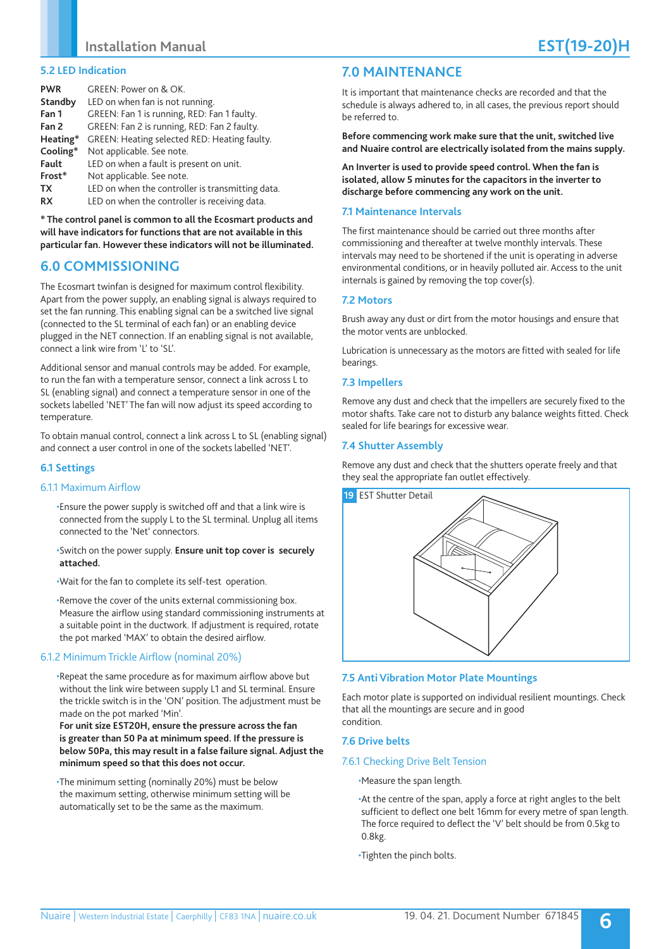#### **5.2 LED Indication**

| <b>PWR</b> | GREEN: Power on & OK.                            |
|------------|--------------------------------------------------|
| Standby    | LED on when fan is not running.                  |
| Fan 1      | GREEN: Fan 1 is running, RED: Fan 1 faulty.      |
| Fan 2      | GREEN: Fan 2 is running, RED: Fan 2 faulty.      |
| Heating*   | GREEN: Heating selected RED: Heating faulty.     |
| Cooling*   | Not applicable. See note.                        |
| Fault      | LED on when a fault is present on unit.          |
| Frost*     | Not applicable. See note.                        |
| TX         | LED on when the controller is transmitting data. |
| <b>RX</b>  | LED on when the controller is receiving data.    |

**\* The control panel is common to all the Ecosmart products and will have indicators for functions that are not available in this particular fan. However these indicators will not be illuminated.**

## **6.0 COMMISSIONING**

The Ecosmart twinfan is designed for maximum control flexibility. Apart from the power supply, an enabling signal is always required to set the fan running. This enabling signal can be a switched live signal (connected to the SL terminal of each fan) or an enabling device plugged in the NET connection. If an enabling signal is not available, connect a link wire from 'L' to 'SL'.

Additional sensor and manual controls may be added. For example, to run the fan with a temperature sensor, connect a link across L to SL (enabling signal) and connect a temperature sensor in one of the sockets labelled 'NET' The fan will now adjust its speed according to temperature.

To obtain manual control, connect a link across L to SL (enabling signal) and connect a user control in one of the sockets labelled 'NET'.

### **6.1 Settings**

#### 6.1.1 Maximum Airflow

•Ensure the power supply is switched off and that a link wire is connected from the supply L to the SL terminal. Unplug all items connected to the 'Net' connectors.

#### •Switch on the power supply. **Ensure unit top cover is securely attached.**

•Wait for the fan to complete its self-test operation.

•Remove the cover of the units external commissioning box. Measure the airflow using standard commissioning instruments at a suitable point in the ductwork. If adjustment is required, rotate the pot marked 'MAX' to obtain the desired airflow.

#### 6.1.2 Minimum Trickle Airflow (nominal 20%)

•Repeat the same procedure as for maximum airflow above but without the link wire between supply L1 and SL terminal. Ensure the trickle switch is in the 'ON' position. The adjustment must be made on the pot marked 'Min'.

**For unit size EST20H, ensure the pressure across the fan is greater than 50 Pa at minimum speed. If the pressure is below 50Pa, this may result in a false failure signal. Adjust the minimum speed so that this does not occur.**

•The minimum setting (nominally 20%) must be below the maximum setting, otherwise minimum setting will be automatically set to be the same as the maximum.

## **7.0 MAINTENANCE**

It is important that maintenance checks are recorded and that the schedule is always adhered to, in all cases, the previous report should be referred to.

**Before commencing work make sure that the unit, switched live and Nuaire control are electrically isolated from the mains supply.** 

**An Inverter is used to provide speed control. When the fan is isolated, allow 5 minutes for the capacitors in the inverter to discharge before commencing any work on the unit.**

#### **7.1 Maintenance Intervals**

The first maintenance should be carried out three months after commissioning and thereafter at twelve monthly intervals. These intervals may need to be shortened if the unit is operating in adverse environmental conditions, or in heavily polluted air. Access to the unit internals is gained by removing the top cover(s).

#### **7.2 Motors**

Brush away any dust or dirt from the motor housings and ensure that the motor vents are unblocked.

Lubrication is unnecessary as the motors are fitted with sealed for life bearings.

#### **7.3 Impellers**

Remove any dust and check that the impellers are securely fixed to the motor shafts. Take care not to disturb any balance weights fitted. Check sealed for life bearings for excessive wear.

#### **7.4 Shutter Assembly**

Remove any dust and check that the shutters operate freely and that they seal the appropriate fan outlet effectively.



#### **7.5 Anti Vibration Motor Plate Mountings**

Each motor plate is supported on individual resilient mountings. Check that all the mountings are secure and in good condition.

#### **7.6 Drive belts**

#### 7.6.1 Checking Drive Belt Tension

•Measure the span length.

•At the centre of the span, apply a force at right angles to the belt sufficient to deflect one belt 16mm for every metre of span length. The force required to deflect the 'V' belt should be from 0.5kg to 0.8kg.

•Tighten the pinch bolts.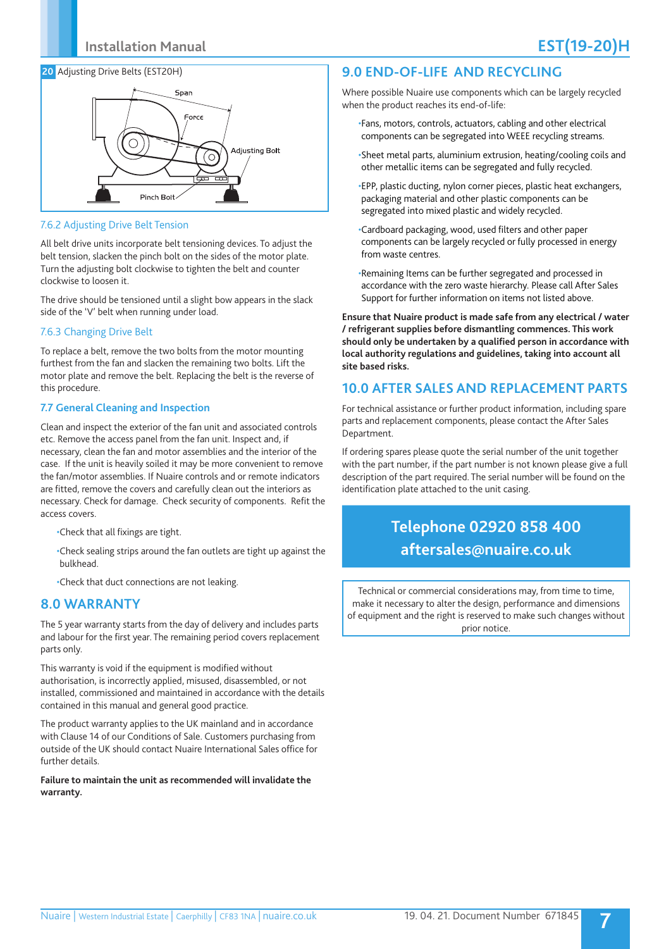#### **20** Adjusting Drive Belts (EST20H)



#### 7.6.2 Adjusting Drive Belt Tension

All belt drive units incorporate belt tensioning devices. To adjust the belt tension, slacken the pinch bolt on the sides of the motor plate. Turn the adjusting bolt clockwise to tighten the belt and counter clockwise to loosen it.

The drive should be tensioned until a slight bow appears in the slack side of the 'V' belt when running under load.

#### 7.6.3 Changing Drive Belt

To replace a belt, remove the two bolts from the motor mounting furthest from the fan and slacken the remaining two bolts. Lift the motor plate and remove the belt. Replacing the belt is the reverse of this procedure.

#### **7.7 General Cleaning and Inspection**

Clean and inspect the exterior of the fan unit and associated controls etc. Remove the access panel from the fan unit. Inspect and, if necessary, clean the fan and motor assemblies and the interior of the case. If the unit is heavily soiled it may be more convenient to remove the fan/motor assemblies. If Nuaire controls and or remote indicators are fitted, remove the covers and carefully clean out the interiors as necessary. Check for damage. Check security of components. Refit the access covers.

- •Check that all fixings are tight.
- •Check sealing strips around the fan outlets are tight up against the bulkhead.

•Check that duct connections are not leaking.

## **8.0 WARRANTY**

The 5 year warranty starts from the day of delivery and includes parts and labour for the first year. The remaining period covers replacement parts only.

This warranty is void if the equipment is modified without authorisation, is incorrectly applied, misused, disassembled, or not installed, commissioned and maintained in accordance with the details contained in this manual and general good practice.

The product warranty applies to the UK mainland and in accordance with Clause 14 of our Conditions of Sale. Customers purchasing from outside of the UK should contact Nuaire International Sales office for further details.

#### **Failure to maintain the unit as recommended will invalidate the warranty.**

## **9.0 END-OF-LIFE AND RECYCLING**

Where possible Nuaire use components which can be largely recycled when the product reaches its end-of-life:

- •Fans, motors, controls, actuators, cabling and other electrical components can be segregated into WEEE recycling streams.
- •Sheet metal parts, aluminium extrusion, heating/cooling coils and other metallic items can be segregated and fully recycled.
- •EPP, plastic ducting, nylon corner pieces, plastic heat exchangers, packaging material and other plastic components can be segregated into mixed plastic and widely recycled.
- •Cardboard packaging, wood, used filters and other paper components can be largely recycled or fully processed in energy from waste centres.
- •Remaining Items can be further segregated and processed in accordance with the zero waste hierarchy. Please call After Sales Support for further information on items not listed above.

**Ensure that Nuaire product is made safe from any electrical / water / refrigerant supplies before dismantling commences. This work should only be undertaken by a qualified person in accordance with local authority regulations and guidelines, taking into account all site based risks.**

## **10.0 AFTER SALES AND REPLACEMENT PARTS**

For technical assistance or further product information, including spare parts and replacement components, please contact the After Sales Department.

If ordering spares please quote the serial number of the unit together with the part number, if the part number is not known please give a full description of the part required. The serial number will be found on the identification plate attached to the unit casing.

# **Telephone 02920 858 400 aftersales@nuaire.co.uk**

Technical or commercial considerations may, from time to time, make it necessary to alter the design, performance and dimensions of equipment and the right is reserved to make such changes without prior notice.